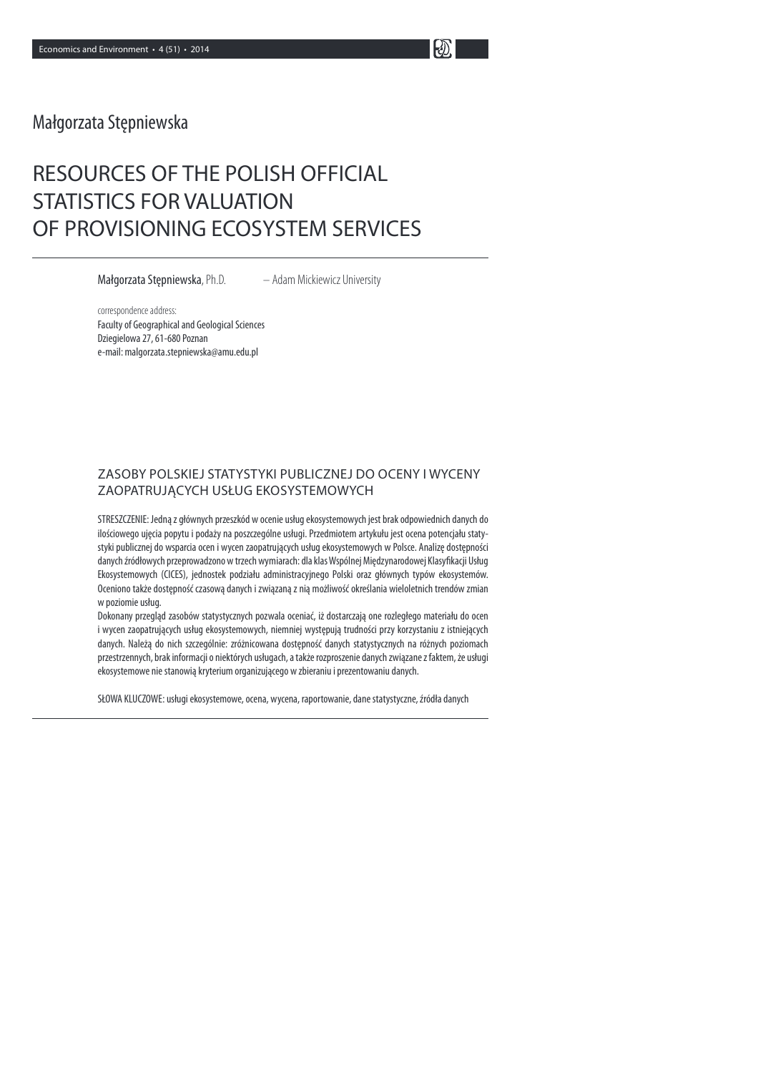# Małgorzata Stępniewska

# RESOURCES OF THE POLISH OFFICIAL STATISTICS FOR VALUATION OF PROVISIONING ECOSYSTEM SERVICES

Małgorzata Stępniewska, Ph.D. – Adam Mickiewicz University

correspondence address: Faculty of Geographical and Geological Sciences Dziegielowa 27, 61-680 Poznan e-mail: malgorzata.stepniewska@amu.edu.pl

## ZASOBY POLSKIEJ STATYSTYKI PUBLICZNEJ DO OCENY I WYCENY ZAOPATRUJĄCYCH USŁUG EKOSYSTEMOWYCH

STRESZCZENIE: Jedną z głównych przeszkód w ocenie usług ekosystemowych jest brak odpowiednich danych do ilościowego ujęcia popytu i podaży na poszczególne usługi. Przedmiotem artykułu jest ocena potencjału statystyki publicznej do wsparcia ocen i wycen zaopatrujących usług ekosystemowych w Polsce. Analizę dostępności danych źródłowych przeprowadzono w trzech wymiarach: dla klas Wspólnej Międzynarodowej Klasyfikacji Usług Ekosystemowych (CICES), jednostek podziału administracyjnego Polski oraz głównych typów ekosystemów. Oceniono także dostępność czasową danych i związaną z nią możliwość określania wieloletnich trendów zmian w poziomie usług.

Dokonany przegląd zasobów statystycznych pozwala oceniać, iż dostarczają one rozległego materiału do ocen i wycen zaopatrujących usług ekosystemowych, niemniej występują trudności przy korzystaniu z istniejących danych. Należą do nich szczególnie: zróżnicowana dostępność danych statystycznych na różnych poziomach przestrzennych, brak informacji o niektórych usługach, a także rozproszenie danych związane z faktem, że usługi ekosystemowe nie stanowią kryterium organizującego w zbieraniu i prezentowaniu danych.

SŁOWA KLUCZOWE: usługi ekosystemowe, ocena, wycena, raportowanie, dane statystyczne, źródła danych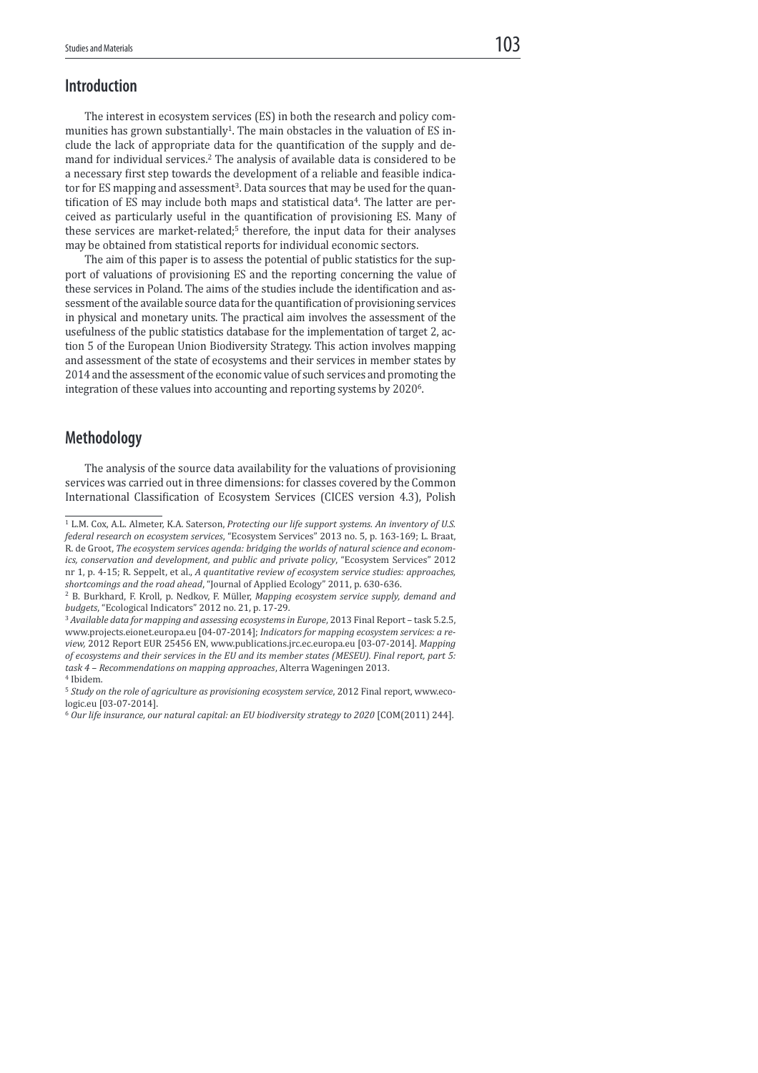### Introduction

 The interest in ecosystem services (ES) in both the research and policy communities has grown substantially<sup>1</sup>. The main obstacles in the valuation of ES include the lack of appropriate data for the quantification of the supply and demand for individual services.<sup>2</sup> The analysis of available data is considered to be a necessary first step towards the development of a reliable and feasible indicator for ES mapping and assessment<sup>3</sup>. Data sources that may be used for the quantification of ES may include both maps and statistical data<sup>4</sup>. The latter are perceived as particularly useful in the quantification of provisioning ES. Many of these services are market-related;<sup>5</sup> therefore, the input data for their analyses may be obtained from statistical reports for individual economic sectors.

 The aim of this paper is to assess the potential of public statistics for the support of valuations of provisioning ES and the reporting concerning the value of these services in Poland. The aims of the studies include the identiication and assessment of the available source data for the quantiication of provisioning services in physical and monetary units. The practical aim involves the assessment of the usefulness of the public statistics database for the implementation of target 2, action 5 of the European Union Biodiversity Strategy. This action involves mapping and assessment of the state of ecosystems and their services in member states by 2014 and the assessment of the economic value of such services and promoting the integration of these values into accounting and reporting systems by 2020<sup>6</sup>.

### Methodology

 The analysis of the source data availability for the valuations of provisioning services was carried out in three dimensions: for classes covered by the Common International Classification of Ecosystem Services (CICES version 4.3), Polish

<sup>&</sup>lt;sup>1</sup> L.M. Cox, A.L. Almeter, K.A. Saterson, Protecting our life support systems. An inventory of U.S. federal research on ecosystem services, "Ecosystem Services" 2013 no. 5, p. 163-169; L. Braat, R. de Groot, The ecosystem services agenda: bridging the worlds of natural science and economics, conservation and development, and public and private policy, "Ecosystem Services" 2012 nr 1, p. 4-15; R. Seppelt, et al., A quantitative review of ecosystem service studies: approaches, shortcomings and the road ahead, "Journal of Applied Ecology" 2011, p. 630-636.

<sup>&</sup>lt;sup>2</sup> B. Burkhard, F. Kroll, p. Nedkov, F. Müller, Mapping ecosystem service supply, demand and budgets, "Ecological Indicators" 2012 no. 21, p. 17-29.

<sup>&</sup>lt;sup>3</sup> Available data for mapping and assessing ecosystems in Europe, 2013 Final Report - task 5.2.5, www.projects.eionet.europa.eu [04-07-2014]; Indicators for mapping ecosystem services: a review, 2012 Report EUR 25456 EN, www.publications.jrc.ec.europa.eu [03-07-2014]. Mapping of ecosystems and their services in the EU and its member states (MESEU). Final report, part 5: task 4 – Recommendations on mapping approaches, Alterra Wageningen 2013.

<sup>4</sup> Ibidem.

<sup>&</sup>lt;sup>5</sup> Study on the role of agriculture as provisioning ecosystem service, 2012 Final report, www.ecologic.eu [03-07-2014].

 $6$  Our life insurance, our natural capital: an EU biodiversity strategy to 2020 [COM(2011) 244].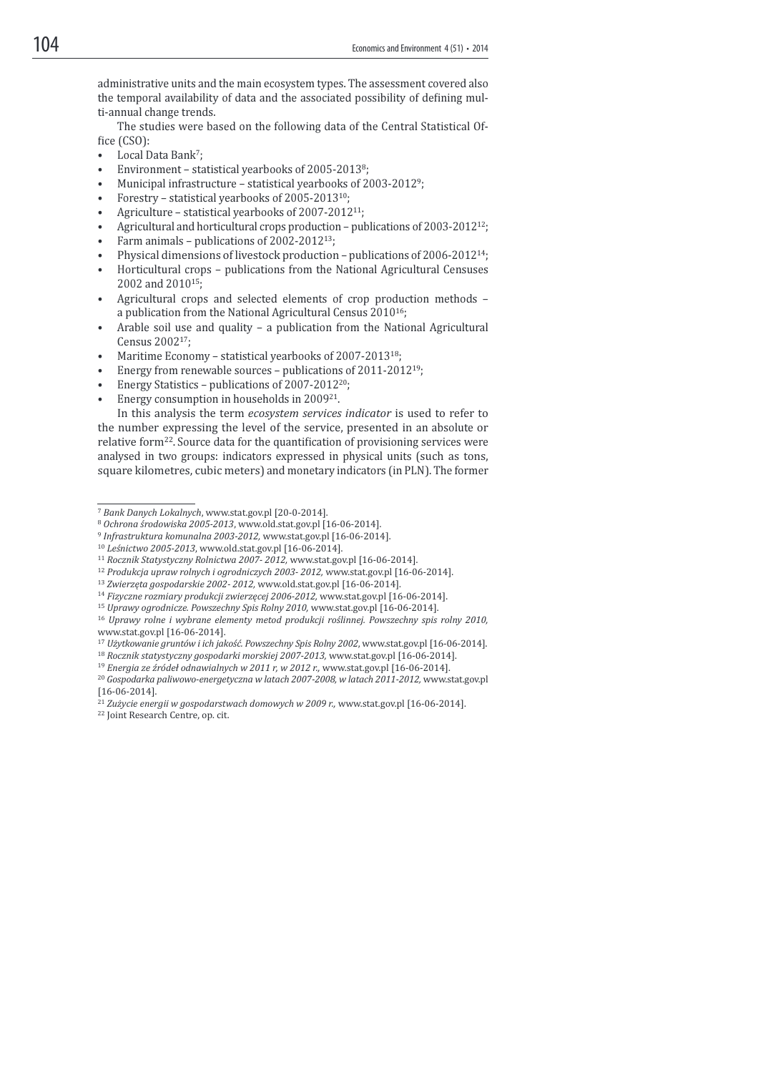administrative units and the main ecosystem types. The assessment covered also the temporal availability of data and the associated possibility of defining multi-annual change trends.

 The studies were based on the following data of the Central Statistical Of fice (CSO):

- Local Data Bank<sup>7</sup>;
- Environment statistical yearbooks of 2005-2013<sup>8</sup> ;
- Municipal infrastructure statistical yearbooks of 2003-2012<sup>9</sup>;
- Forestry statistical yearbooks of 2005-2013<sup>10</sup>;
- Agriculture statistical yearbooks of 2007-2012<sup>11</sup>;
- Agricultural and horticultural crops production publications of 2003-2012<sup>12</sup>;
- Farm animals publications of 2002-2012<sup>13</sup>;
- Physical dimensions of livestock production publications of 2006-2012<sup>14</sup>;
- Horticultural crops publications from the National Agricultural Censuses 2002 and 2010<sup>15</sup>;
- Agricultural crops and selected elements of crop production methods a publication from the National Agricultural Census 2010<sup>16</sup>;
- Arable soil use and quality a publication from the National Agricultural Census 2002<sup>17</sup>;
- Maritime Economy statistical yearbooks of 2007-2013<sup>18</sup>;
- Energy from renewable sources publications of 2011-2012<sup>19</sup>;
- Energy Statistics publications of 2007-2012<sup>20</sup>;
- Energy consumption in households in 2009<sup>21</sup> .

 In this analysis the term ecosystem services indicator is used to refer to the number expressing the level of the service, presented in an absolute or relative form<sup>22</sup>. Source data for the quantification of provisioning services were analysed in two groups: indicators expressed in physical units (such as tons, square kilometres, cubic meters) and monetary indicators (in PLN). The former

- <sup>9</sup> Infrastruktura komunalna 2003-2012, www.stat.gov.pl [16-06-2014].
- <sup>10</sup> Leśnictwo 2005-2013, www.old.stat.gov.pl [16-06-2014].

<sup>12</sup> Produkcja upraw rolnych i ogrodniczych 2003- 2012, www.stat.gov.pl [16-06-2014].

<sup>14</sup> Fizyczne rozmiary produkcji zwierzęcej 2006-2012, www.stat.gov.pl [16-06-2014].

<sup>18</sup> Rocznik statystyczny gospodarki morskiej 2007-2013, www.stat.gov.pl [16-06-2014].

 $19$  Energia ze źródeł odnawialnych w 2011 r, w 2012 r., www.stat.gov.pl [16-06-2014].

<sup>21</sup> Zużycie energii w gospodarstwach domowych w 2009 r., www.stat.gov.pl [16-06-2014]. <sup>22</sup> Joint Research Centre, op. cit.

<sup>7</sup> Bank Danych Lokalnych, www.stat.gov.pl [20-0-2014].

<sup>8</sup> Ochrona środowiska 2005-2013, www.old.stat.gov.pl [16-06-2014].

<sup>&</sup>lt;sup>11</sup> Rocznik Statystyczny Rolnictwa 2007-2012, www.stat.gov.pl [16-06-2014].

<sup>13</sup> Zwierzęta gospodarskie 2002- 2012, www.old.stat.gov.pl [16-06-2014].

<sup>15</sup> Uprawy ogrodnicze. Powszechny Spis Rolny 2010, www.stat.gov.pl [16-06-2014].

<sup>16</sup> Uprawy rolne i wybrane elementy metod produkcji roślinnej. Powszechny spis rolny 2010, www.stat.gov.pl [16-06-2014].

<sup>17</sup> Użytkowanie gruntów i ich jakość. Powszechny Spis Rolny 2002, www.stat.gov.pl [16-06-2014].

<sup>&</sup>lt;sup>20</sup> Gospodarka paliwowo-energetyczna w latach 2007-2008, w latach 2011-2012, www.stat.gov.pl [16-06-2014].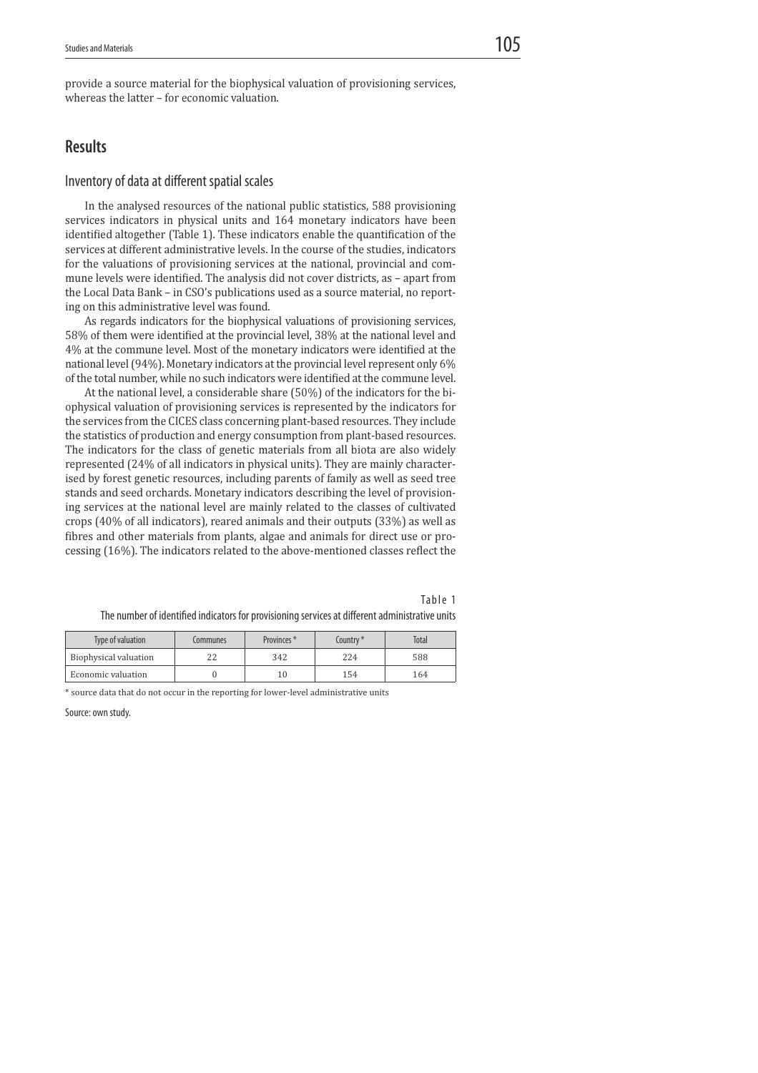provide a source material for the biophysical valuation of provisioning services, whereas the latter – for economic valuation.

# Results

### Inventory of data at different spatial scales

 In the analysed resources of the national public statistics, 588 provisioning services indicators in physical units and 164 monetary indicators have been identified altogether (Table 1). These indicators enable the quantification of the services at different administrative levels. In the course of the studies, indicators for the valuations of provisioning services at the national, provincial and commune levels were identified. The analysis did not cover districts, as - apart from the Local Data Bank – in CSO's publications used as a source material, no reporting on this administrative level was found.

 As regards indicators for the biophysical valuations of provisioning services, 58% of them were identiied at the provincial level, 38% at the national level and 4% at the commune level. Most of the monetary indicators were identified at the national level (94%). Monetary indicators at the provincial level represent only 6% of the total number, while no such indicators were identified at the commune level.

 At the national level, a considerable share (50%) of the indicators for the biophysical valuation of provisioning services is represented by the indicators for the services from the CICES class concerning plant-based resources. They include the statistics of production and energy consumption from plant-based resources. The indicators for the class of genetic materials from all biota are also widely represented (24% of all indicators in physical units). They are mainly characterised by forest genetic resources, including parents of family as well as seed tree stands and seed orchards. Monetary indicators describing the level of provisioning services at the national level are mainly related to the classes of cultivated crops (40% of all indicators), reared animals and their outputs (33%) as well as fibres and other materials from plants, algae and animals for direct use or processing (16%). The indicators related to the above-mentioned classes relect the

| Table 1                                                                                         |  |
|-------------------------------------------------------------------------------------------------|--|
| The number of identified indicators for provisioning services at different administrative units |  |

| Type of valuation     | Communes | Provinces <sup>*</sup> | country* | Total |
|-----------------------|----------|------------------------|----------|-------|
| Biophysical valuation | 22       | 342                    | 224      | 588   |
| Economic valuation    |          | 10                     | 154      | 164   |

\* source data that do not occur in the reporting for lower-level administrative units

Source: own study.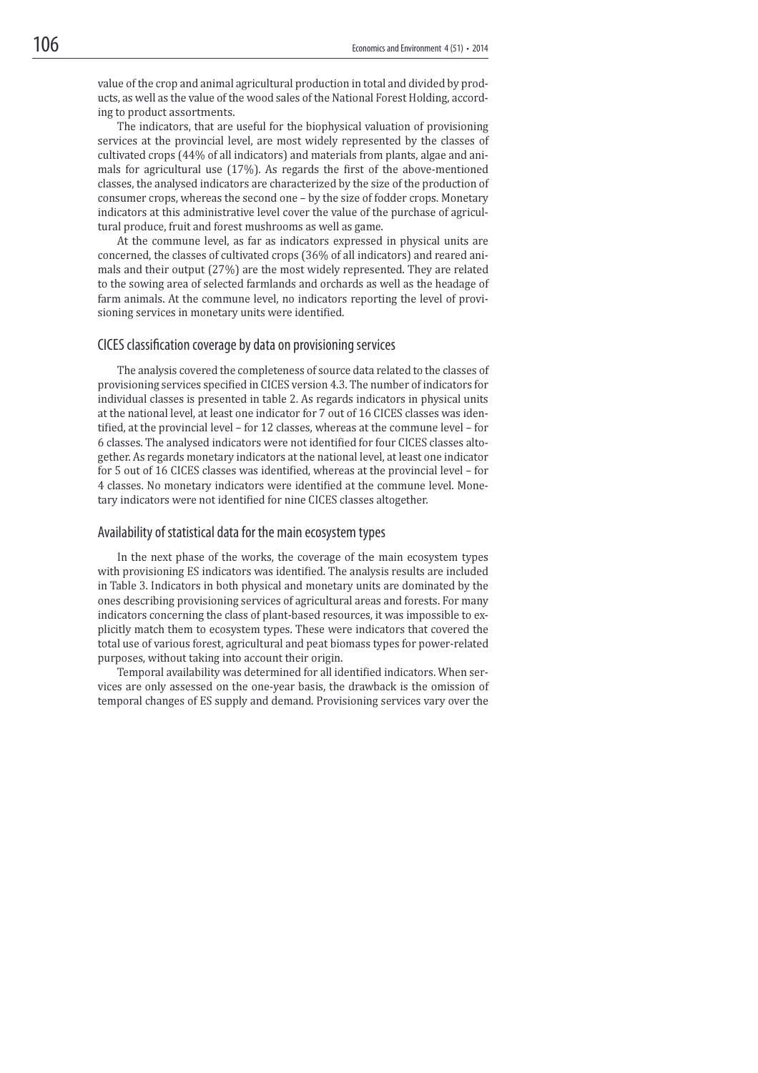value of the crop and animal agricultural production in total and divided by products, as well as the value of the wood sales of the National Forest Holding, according to product assortments.

 The indicators, that are useful for the biophysical valuation of provisioning services at the provincial level, are most widely represented by the classes of cultivated crops (44% of all indicators) and materials from plants, algae and animals for agricultural use (17%). As regards the irst of the above-mentioned classes, the analysed indicators are characterized by the size of the production of consumer crops, whereas the second one – by the size of fodder crops. Monetary indicators at this administrative level cover the value of the purchase of agricultural produce, fruit and forest mushrooms as well as game.

 At the commune level, as far as indicators expressed in physical units are concerned, the classes of cultivated crops (36% of all indicators) and reared animals and their output (27%) are the most widely represented. They are related to the sowing area of selected farmlands and orchards as well as the headage of farm animals. At the commune level, no indicators reporting the level of provisioning services in monetary units were identified.

#### CICES classification coverage by data on provisioning services

 The analysis covered the completeness of source data related to the classes of provisioning services specified in CICES version 4.3. The number of indicators for individual classes is presented in table 2. As regards indicators in physical units at the national level, at least one indicator for 7 out of 16 CICES classes was identified, at the provincial level – for 12 classes, whereas at the commune level – for 6 classes. The analysed indicators were not identiied for four CICES classes altogether. As regards monetary indicators at the national level, at least one indicator for 5 out of 16 CICES classes was identiied, whereas at the provincial level – for 4 classes. No monetary indicators were identified at the commune level. Monetary indicators were not identified for nine CICES classes altogether.

#### Availability of statistical data for the main ecosystem types

 In the next phase of the works, the coverage of the main ecosystem types with provisioning ES indicators was identified. The analysis results are included in Table 3. Indicators in both physical and monetary units are dominated by the ones describing provisioning services of agricultural areas and forests. For many indicators concerning the class of plant-based resources, it was impossible to explicitly match them to ecosystem types. These were indicators that covered the total use of various forest, agricultural and peat biomass types for power-related purposes, without taking into account their origin.

Temporal availability was determined for all identified indicators. When services are only assessed on the one-year basis, the drawback is the omission of temporal changes of ES supply and demand. Provisioning services vary over the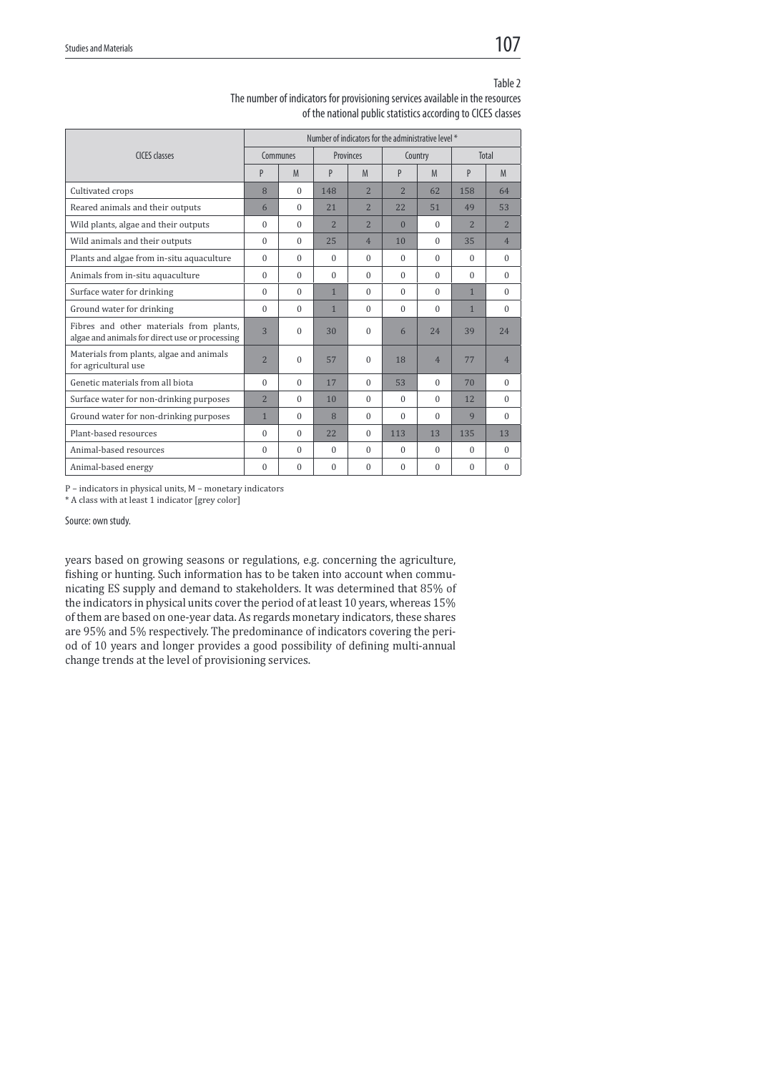|                                                                                           | Number of indicators for the administrative level * |          |                |                |                |                |                |                |
|-------------------------------------------------------------------------------------------|-----------------------------------------------------|----------|----------------|----------------|----------------|----------------|----------------|----------------|
| CICES classes                                                                             | Communes                                            |          | Provinces      |                | Country        |                | <b>Total</b>   |                |
|                                                                                           | P                                                   | M        | P              | M              | P              | M              | P              | M              |
| Cultivated crops                                                                          | 8                                                   | $\Omega$ | 148            | $\overline{2}$ | $\overline{2}$ | 62             | 158            | 64             |
| Reared animals and their outputs                                                          | 6                                                   | $\Omega$ | 21             | $\overline{2}$ | 22             | 51             | 49             | 53             |
| Wild plants, algae and their outputs                                                      | $\Omega$                                            | $\Omega$ | $\overline{2}$ | $\overline{2}$ | $\Omega$       | $\Omega$       | $\overline{2}$ | $\overline{2}$ |
| Wild animals and their outputs                                                            | $\Omega$                                            | $\Omega$ | 25             | $\overline{4}$ | 10             | $\Omega$       | 35             | $\overline{4}$ |
| Plants and algae from in-situ aquaculture                                                 | $\Omega$                                            | $\Omega$ | $\Omega$       | $\Omega$       | $\Omega$       | $\Omega$       | $\Omega$       | $\Omega$       |
| Animals from in-situ aquaculture                                                          | $\Omega$                                            | $\Omega$ | $\Omega$       | $\Omega$       | $\Omega$       | $\Omega$       | $\Omega$       | $\Omega$       |
| Surface water for drinking                                                                | $\Omega$                                            | $\Omega$ | $\mathbf{1}$   | $\Omega$       | $\Omega$       | $\Omega$       | $\mathbf{1}$   | $\Omega$       |
| Ground water for drinking                                                                 | $\Omega$                                            | $\Omega$ | $\mathbf{1}$   | $\Omega$       | $\Omega$       | $\Omega$       | $\mathbf{1}$   | $\Omega$       |
| Fibres and other materials from plants,<br>algae and animals for direct use or processing | $\overline{3}$                                      | $\Omega$ | 30             | $\theta$       | 6              | 24             | 39             | 24             |
| Materials from plants, algae and animals<br>for agricultural use                          | $\overline{2}$                                      | $\theta$ | 57             | $\theta$       | 18             | $\overline{4}$ | 77             | $\overline{4}$ |
| Genetic materials from all biota                                                          | $\Omega$                                            | $\Omega$ | 17             | $\Omega$       | 53             | $\Omega$       | 70             | $\Omega$       |
| Surface water for non-drinking purposes                                                   | $\overline{2}$                                      | $\Omega$ | 10             | $\Omega$       | $\Omega$       | $\Omega$       | 12.            | $\Omega$       |
| Ground water for non-drinking purposes                                                    | $\mathbf{1}$                                        | $\Omega$ | 8              | $\Omega$       | $\Omega$       | $\Omega$       | 9              | $\Omega$       |
| Plant-based resources                                                                     | $\Omega$                                            | $\Omega$ | 22             | $\Omega$       | 113            | 13             | 135            | 13             |
| Animal-based resources                                                                    | $\Omega$                                            | $\Omega$ | $\Omega$       | $\Omega$       | $\Omega$       | $\Omega$       | $\Omega$       | $\Omega$       |
| Animal-based energy                                                                       | $\Omega$                                            | $\Omega$ | $\Omega$       | $\Omega$       | $\Omega$       | $\Omega$       | $\Omega$       | $\Omega$       |
|                                                                                           |                                                     |          |                |                |                |                |                |                |

Table 2 The number of indicators for provisioning services available in the resources of the national public statistics according to CICES classes

P – indicators in physical units, M – monetary indicators

\* A class with at least 1 indicator [grey color]

Source: own study.

years based on growing seasons or regulations, e.g. concerning the agriculture, fishing or hunting. Such information has to be taken into account when communicating ES supply and demand to stakeholders. It was determined that 85% of the indicators in physical units cover the period of at least 10 years, whereas 15% of them are based on one-year data. As regards monetary indicators, these shares are 95% and 5% respectively. The predominance of indicators covering the period of 10 years and longer provides a good possibility of defining multi-annual change trends at the level of provisioning services.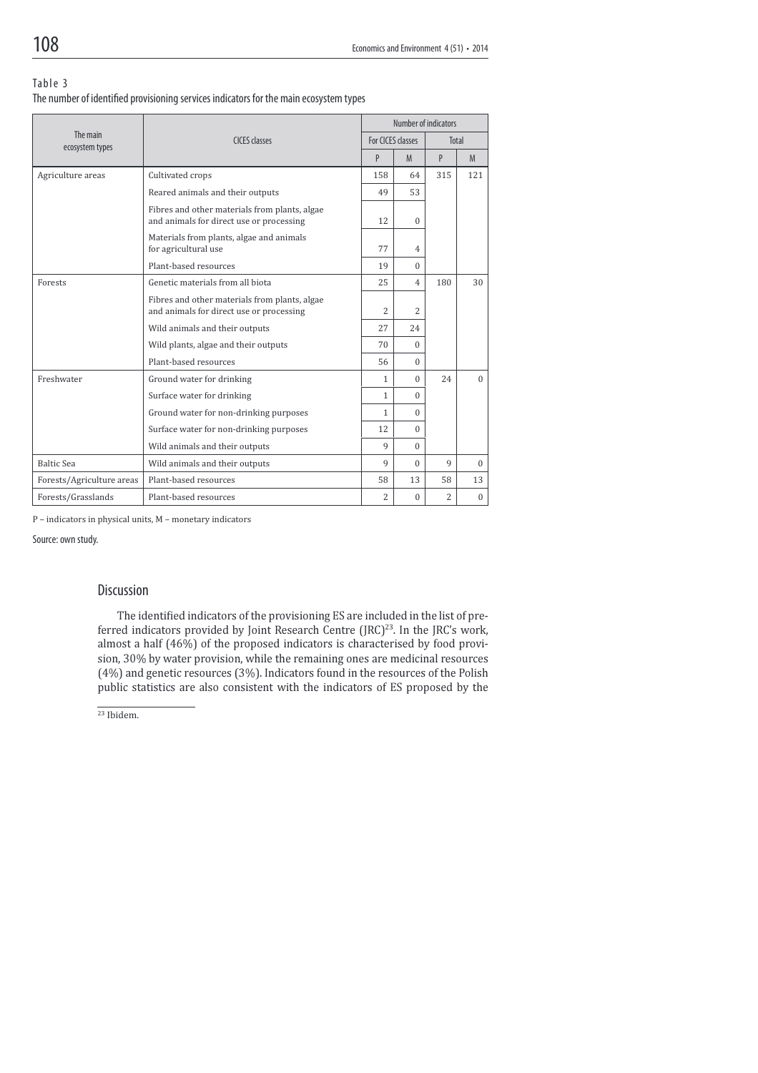#### Table 3

| The number of identified provisioning services indicators for the main ecosystem types |  |  |
|----------------------------------------------------------------------------------------|--|--|
|                                                                                        |  |  |

|                             |                                                                                           | Number of indicators |                   |     |          |  |
|-----------------------------|-------------------------------------------------------------------------------------------|----------------------|-------------------|-----|----------|--|
| The main<br>ecosystem types | <b>CICES</b> classes                                                                      |                      | For CICES classes |     | Total    |  |
|                             |                                                                                           | P                    | M                 | P   | M        |  |
| Agriculture areas           | Cultivated crops                                                                          | 158                  | 64                | 315 | 121      |  |
|                             | Reared animals and their outputs                                                          | 49                   | 53                |     |          |  |
|                             | Fibres and other materials from plants, algae<br>and animals for direct use or processing | 12                   | $\Omega$          |     |          |  |
|                             | Materials from plants, algae and animals<br>for agricultural use                          | 77                   | $\overline{4}$    |     |          |  |
|                             | Plant-based resources                                                                     | 19                   | $\Omega$          |     |          |  |
| Forests                     | Genetic materials from all biota                                                          | 25                   | $\overline{4}$    | 180 | 30       |  |
|                             | Fibres and other materials from plants, algae<br>and animals for direct use or processing | 2                    | $\overline{c}$    |     |          |  |
|                             | Wild animals and their outputs                                                            | 27                   | 24                |     |          |  |
|                             | Wild plants, algae and their outputs                                                      | 70                   | $\Omega$          |     |          |  |
|                             | Plant-based resources                                                                     | 56                   | $\Omega$          |     |          |  |
| Freshwater                  | Ground water for drinking                                                                 | $\mathbf{1}$         | $\Omega$          | 24  | $\Omega$ |  |
|                             | Surface water for drinking                                                                | 1                    | $\Omega$          |     |          |  |
|                             | Ground water for non-drinking purposes                                                    | 1                    | $\Omega$          |     |          |  |
|                             | Surface water for non-drinking purposes                                                   | 12                   | $\Omega$          |     |          |  |
|                             | Wild animals and their outputs                                                            | $\mathbf{Q}$         | $\Omega$          |     |          |  |
| <b>Baltic Sea</b>           | Wild animals and their outputs                                                            | 9                    | $\Omega$          | 9   | $\Omega$ |  |
| Forests/Agriculture areas   | Plant-based resources                                                                     | 58                   | 13                | 58  | 13       |  |
| Forests/Grasslands          | Plant-based resources                                                                     | 2                    | $\Omega$          | 2   | $\Omega$ |  |

P – indicators in physical units, M – monetary indicators

Source: own study.

#### Discussion

The identified indicators of the provisioning ES are included in the list of preferred indicators provided by Joint Research Centre (JRC)<sup>23</sup>. In the JRC's work, almost a half (46%) of the proposed indicators is characterised by food provision, 30% by water provision, while the remaining ones are medicinal resources (4%) and genetic resources (3%). Indicators found in the resources of the Polish public statistics are also consistent with the indicators of ES proposed by the

 $23$  Ibidem.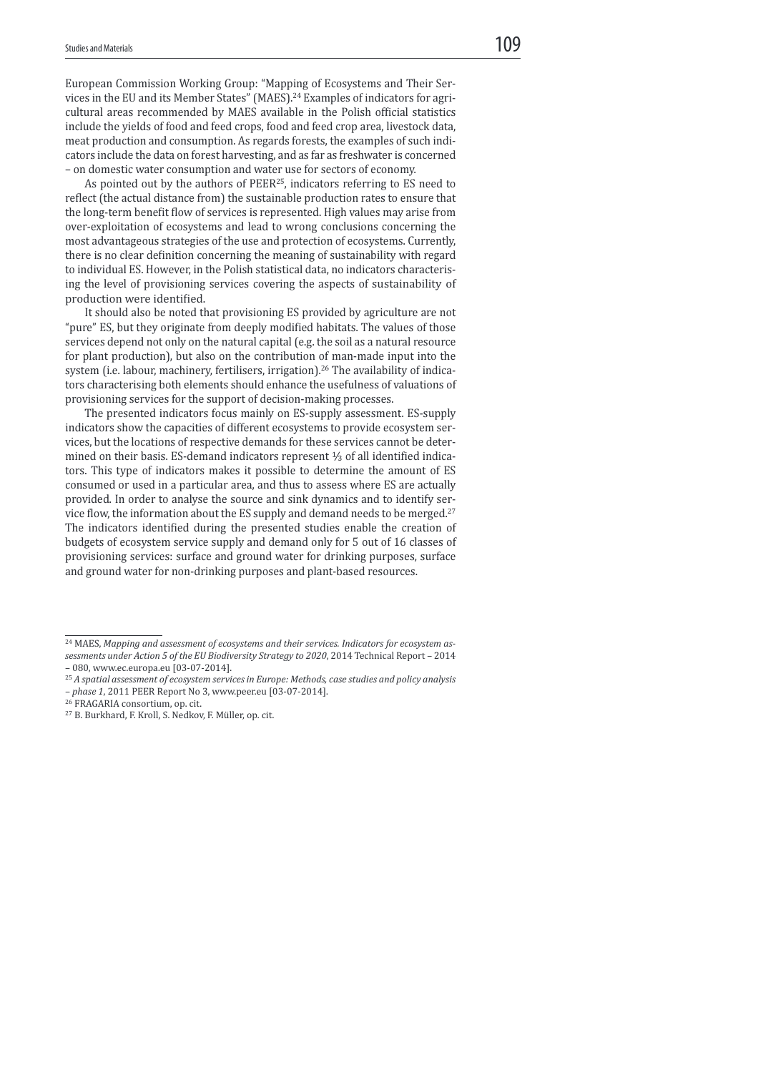European Commission Working Group: "Mapping of Ecosystems and Their Services in the EU and its Member States" (MAES).<sup>24</sup> Examples of indicators for agricultural areas recommended by MAES available in the Polish oficial statistics include the yields of food and feed crops, food and feed crop area, livestock data, meat production and consumption. As regards forests, the examples of such indicators include the data on forest harvesting, and as far as freshwater is concerned – on domestic water consumption and water use for sectors of economy.

As pointed out by the authors of PEER<sup>25</sup>, indicators referring to ES need to relect (the actual distance from) the sustainable production rates to ensure that the long-term benefit flow of services is represented. High values may arise from over-exploitation of ecosystems and lead to wrong conclusions concerning the most advantageous strategies of the use and protection of ecosystems. Currently, there is no clear definition concerning the meaning of sustainability with regard to individual ES. However, in the Polish statistical data, no indicators characterising the level of provisioning services covering the aspects of sustainability of production were identified.

 It should also be noted that provisioning ES provided by agriculture are not "pure" ES, but they originate from deeply modified habitats. The values of those services depend not only on the natural capital (e.g. the soil as a natural resource for plant production), but also on the contribution of man-made input into the system (i.e. labour, machinery, fertilisers, irrigation).<sup>26</sup> The availability of indicators characterising both elements should enhance the usefulness of valuations of provisioning services for the support of decision-making processes.

 The presented indicators focus mainly on ES-supply assessment. ES-supply indicators show the capacities of different ecosystems to provide ecosystem services, but the locations of respective demands for these services cannot be determined on their basis. ES-demand indicators represent 1⁄3 of all identified indicators. This type of indicators makes it possible to determine the amount of ES consumed or used in a particular area, and thus to assess where ES are actually provided. In order to analyse the source and sink dynamics and to identify service flow, the information about the ES supply and demand needs to be merged.<sup>27</sup> The indicators identified during the presented studies enable the creation of budgets of ecosystem service supply and demand only for 5 out of 16 classes of provisioning services: surface and ground water for drinking purposes, surface and ground water for non-drinking purposes and plant-based resources.

<sup>&</sup>lt;sup>24</sup> MAES, Mapping and assessment of ecosystems and their services. Indicators for ecosystem assessments under Action 5 of the EU Biodiversity Strategy to 2020, 2014 Technical Report – 2014 – 080, www.ec.europa.eu [03-07-2014].

 $25$  A spatial assessment of ecosystem services in Europe: Methods, case studies and policy analysis – phase 1, 2011 PEER Report No 3, www.peer.eu [03-07-2014].

<sup>26</sup> FRAGARIA consortium, op. cit.

<sup>27</sup> B. Burkhard, F. Kroll, S. Nedkov, F. Müller, op. cit.